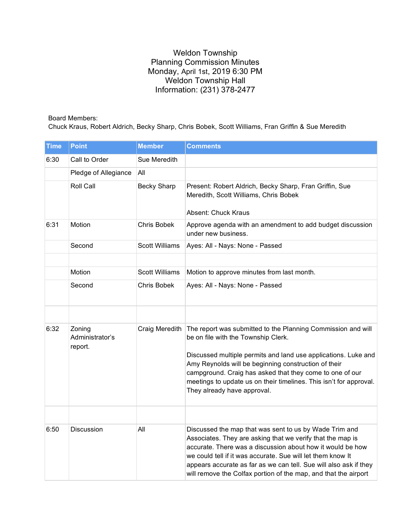## Weldon Township Planning Commission Minutes Monday, April 1st, 2019 6:30 PM Weldon Township Hall Information: (231) 378-2477

## Board Members:

Chuck Kraus, Robert Aldrich, Becky Sharp, Chris Bobek, Scott Williams, Fran Griffin & Sue Meredith

| <b>Time</b> | <b>Point</b>                         | <b>Member</b>         | <b>Comments</b>                                                                                                                                                                                                                                                                                                                                                                                |
|-------------|--------------------------------------|-----------------------|------------------------------------------------------------------------------------------------------------------------------------------------------------------------------------------------------------------------------------------------------------------------------------------------------------------------------------------------------------------------------------------------|
| 6:30        | Call to Order                        | Sue Meredith          |                                                                                                                                                                                                                                                                                                                                                                                                |
|             | Pledge of Allegiance                 | All                   |                                                                                                                                                                                                                                                                                                                                                                                                |
|             | Roll Call                            | <b>Becky Sharp</b>    | Present: Robert Aldrich, Becky Sharp, Fran Griffin, Sue<br>Meredith, Scott Williams, Chris Bobek<br>Absent: Chuck Kraus                                                                                                                                                                                                                                                                        |
| 6:31        | Motion                               | Chris Bobek           | Approve agenda with an amendment to add budget discussion<br>under new business.                                                                                                                                                                                                                                                                                                               |
|             | Second                               | <b>Scott Williams</b> | Ayes: All - Nays: None - Passed                                                                                                                                                                                                                                                                                                                                                                |
|             |                                      |                       |                                                                                                                                                                                                                                                                                                                                                                                                |
|             | Motion                               | <b>Scott Williams</b> | Motion to approve minutes from last month.                                                                                                                                                                                                                                                                                                                                                     |
|             | Second                               | <b>Chris Bobek</b>    | Ayes: All - Nays: None - Passed                                                                                                                                                                                                                                                                                                                                                                |
|             |                                      |                       |                                                                                                                                                                                                                                                                                                                                                                                                |
| 6:32        | Zoning<br>Administrator's<br>report. | Craig Meredith        | The report was submitted to the Planning Commission and will<br>be on file with the Township Clerk.<br>Discussed multiple permits and land use applications. Luke and<br>Amy Reynolds will be beginning construction of their<br>campground. Craig has asked that they come to one of our<br>meetings to update us on their timelines. This isn't for approval.<br>They already have approval. |
|             |                                      |                       |                                                                                                                                                                                                                                                                                                                                                                                                |
| 6:50        | Discussion                           | All                   | Discussed the map that was sent to us by Wade Trim and<br>Associates. They are asking that we verify that the map is<br>accurate. There was a discussion about how it would be how<br>we could tell if it was accurate. Sue will let them know It<br>appears accurate as far as we can tell. Sue will also ask if they<br>will remove the Colfax portion of the map, and that the airport      |